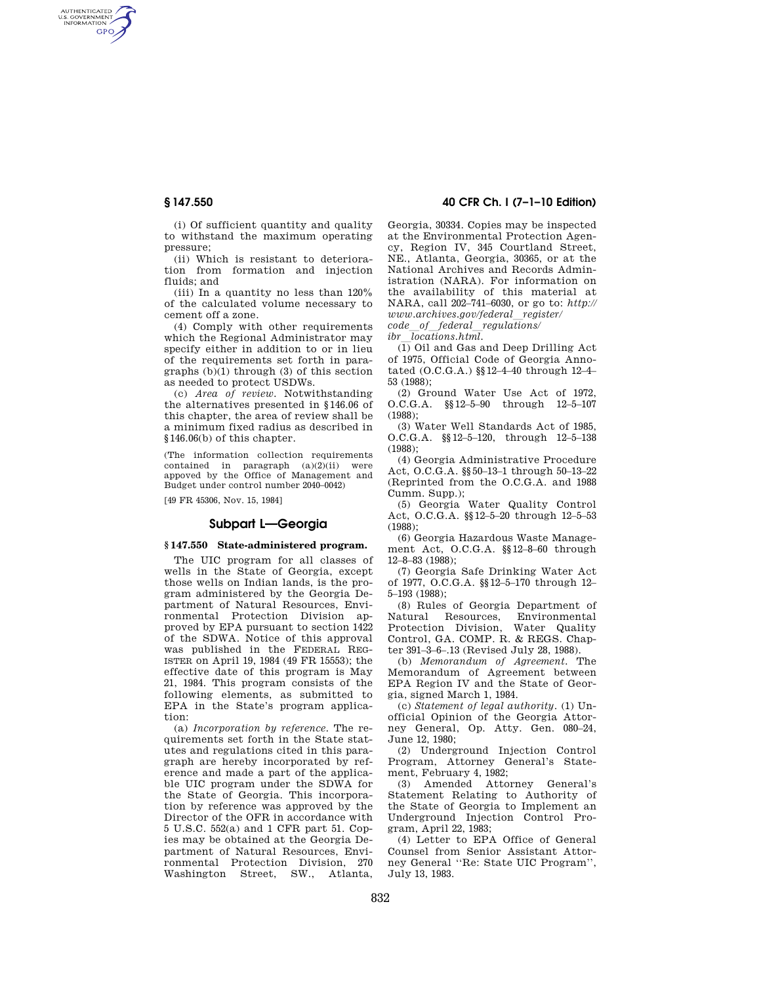AUTHENTICATED<br>U.S. GOVERNMENT<br>INFORMATION **GPO** 

**§ 147.550 40 CFR Ch. I (7–1–10 Edition)** 

(i) Of sufficient quantity and quality to withstand the maximum operating pressure;

(ii) Which is resistant to deterioration from formation and injection fluids; and

(iii) In a quantity no less than 120% of the calculated volume necessary to cement off a zone.

(4) Comply with other requirements which the Regional Administrator may specify either in addition to or in lieu of the requirements set forth in paragraphs (b)(1) through (3) of this section as needed to protect USDWs.

(c) *Area of review.* Notwithstanding the alternatives presented in §146.06 of this chapter, the area of review shall be a minimum fixed radius as described in §146.06(b) of this chapter.

(The information collection requirements contained in paragraph (a)(2)(ii) were appoved by the Office of Management and Budget under control number 2040–0042)

[49 FR 45306, Nov. 15, 1984]

## **Subpart L—Georgia**

## **§ 147.550 State-administered program.**

The UIC program for all classes of wells in the State of Georgia, except those wells on Indian lands, is the program administered by the Georgia Department of Natural Resources, Environmental Protection Division approved by EPA pursuant to section 1422 of the SDWA. Notice of this approval was published in the FEDERAL REG-ISTER on April 19, 1984 (49 FR 15553); the effective date of this program is May 21, 1984. This program consists of the following elements, as submitted to EPA in the State's program application:

(a) *Incorporation by reference.* The requirements set forth in the State statutes and regulations cited in this paragraph are hereby incorporated by reference and made a part of the applicable UIC program under the SDWA for the State of Georgia. This incorporation by reference was approved by the Director of the OFR in accordance with 5 U.S.C. 552(a) and 1 CFR part 51. Copies may be obtained at the Georgia Department of Natural Resources, Environmental Protection Division, 270 Washington Street, SW., Atlanta, Georgia, 30334. Copies may be inspected at the Environmental Protection Agency, Region IV, 345 Courtland Street, NE., Atlanta, Georgia, 30365, or at the National Archives and Records Administration (NARA). For information on the availability of this material at NARA, call 202–741–6030, or go to: *http:// www.archives.gov/federal*l*register/ code\_of\_federal\_regulations/*<br>*ibr locations.html.* 

*ibr*l*locations.html.*  (1) Oil and Gas and Deep Drilling Act of 1975, Official Code of Georgia Annotated (O.C.G.A.) §§12–4–40 through 12–4– 53 (1988);

(2) Ground Water Use Act of 1972, O.C.G.A. §§12–5–90 through 12–5–107 (1988);

(3) Water Well Standards Act of 1985, O.C.G.A. §§12–5–120, through 12–5–138 (1988);

(4) Georgia Administrative Procedure Act, O.C.G.A. §§50–13–1 through 50–13–22 (Reprinted from the O.C.G.A. and 1988 Cumm. Supp.);

(5) Georgia Water Quality Control Act, O.C.G.A. §§12–5–20 through 12–5–53 (1988);

(6) Georgia Hazardous Waste Management Act, O.C.G.A. §§12–8–60 through 12–8–83 (1988);

(7) Georgia Safe Drinking Water Act of 1977, O.C.G.A. §§12–5–170 through 12– 5–193 (1988);

(8) Rules of Georgia Department of Natural Resources, Environmental Protection Division, Water Quality Control, GA. COMP. R. & REGS. Chapter 391–3–6–.13 (Revised July 28, 1988).

(b) *Memorandum of Agreement.* The Memorandum of Agreement between EPA Region IV and the State of Georgia, signed March 1, 1984.

(c) *Statement of legal authority.* (1) Unofficial Opinion of the Georgia Attorney General, Op. Atty. Gen. 080–24, June 12, 1980;

(2) Underground Injection Control Program, Attorney General's Statement, February 4, 1982;

(3) Amended Attorney General's Statement Relating to Authority of the State of Georgia to Implement an Underground Injection Control Program, April 22, 1983;

(4) Letter to EPA Office of General Counsel from Senior Assistant Attorney General ''Re: State UIC Program'', July 13, 1983.